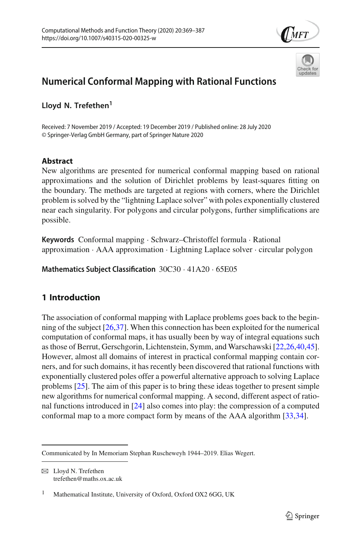



# **Numerical Conformal Mapping with Rational Functions**

Lloyd N. Trefethen<sup>1</sup>

Received: 7 November 2019 / Accepted: 19 December 2019 / Published online: 28 July 2020 © Springer-Verlag GmbH Germany, part of Springer Nature 2020

# **Abstract**

New algorithms are presented for numerical conformal mapping based on rational approximations and the solution of Dirichlet problems by least-squares fitting on the boundary. The methods are targeted at regions with corners, where the Dirichlet problem is solved by the "lightning Laplace solver" with poles exponentially clustered near each singularity. For polygons and circular polygons, further simplifications are possible.

**Keywords** Conformal mapping · Schwarz–Christoffel formula · Rational approximation · AAA approximation · Lightning Laplace solver · circular polygon

**Mathematics Subject Classification** 30C30 · 41A20 · 65E05

# **1 Introduction**

The association of conformal mapping with Laplace problems goes back to the beginning of the subject [\[26](#page-17-0)[,37\]](#page-18-0). When this connection has been exploited for the numerical computation of conformal maps, it has usually been by way of integral equations such as those of Berrut, Gerschgorin, Lichtenstein, Symm, and Warschawski [\[22](#page-17-1)[,26](#page-17-0)[,40](#page-18-1)[,45](#page-18-2)]. However, almost all domains of interest in practical conformal mapping contain corners, and for such domains, it has recently been discovered that rational functions with exponentially clustered poles offer a powerful alternative approach to solving Laplace problems [\[25](#page-17-2)]. The aim of this paper is to bring these ideas together to present simple new algorithms for numerical conformal mapping. A second, different aspect of rational functions introduced in [\[24\]](#page-17-3) also comes into play: the compression of a computed conformal map to a more compact form by means of the AAA algorithm [\[33](#page-17-4)[,34\]](#page-17-5).

 $\boxtimes$  Lloyd N. Trefethen trefethen@maths.ox.ac.uk

Communicated by In Memoriam Stephan Ruscheweyh 1944–2019. Elias Wegert.

<sup>&</sup>lt;sup>1</sup> Mathematical Institute, University of Oxford, Oxford OX2 6GG, UK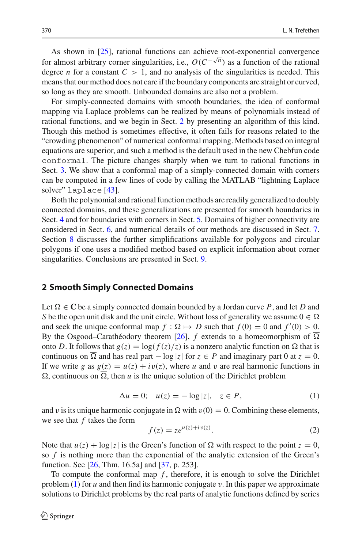As shown in [\[25\]](#page-17-2), rational functions can achieve root-exponential convergence for almost arbitrary corner singularities, i.e.,  $O(C^{-\sqrt{n}})$  as a function of the rational degree *n* for a constant  $C > 1$ , and no analysis of the singularities is needed. This means that our method does not care if the boundary components are straight or curved, so long as they are smooth. Unbounded domains are also not a problem.

For simply-connected domains with smooth boundaries, the idea of conformal mapping via Laplace problems can be realized by means of polynomials instead of rational functions, and we begin in Sect. [2](#page-1-0) by presenting an algorithm of this kind. Though this method is sometimes effective, it often fails for reasons related to the "crowding phenomenon" of numerical conformal mapping. Methods based on integral equations are superior, and such a method is the default used in the new Chebfun code conformal. The picture changes sharply when we turn to rational functions in Sect. [3.](#page-5-0) We show that a conformal map of a simply-connected domain with corners can be computed in a few lines of code by calling the MATLAB "lightning Laplace solver" laplace [\[43](#page-18-3)].

Both the polynomial and rational function methods are readily generalized to doubly connected domains, and these generalizations are presented for smooth boundaries in Sect. [4](#page-8-0) and for boundaries with corners in Sect. [5.](#page-12-0) Domains of higher connectivity are considered in Sect. [6,](#page-13-0) and numerical details of our methods are discussed in Sect. [7.](#page-14-0) Section [8](#page-15-0) discusses the further simplifications available for polygons and circular polygons if one uses a modified method based on explicit information about corner singularities. Conclusions are presented in Sect. [9.](#page-16-0)

#### <span id="page-1-0"></span>**2 Smooth Simply Connected Domains**

Let  $\Omega \in \mathbb{C}$  be a simply connected domain bounded by a Jordan curve *P*, and let *D* and *S* be the open unit disk and the unit circle. Without loss of generality we assume  $0 \in \Omega$ and seek the unique conformal map  $f : \Omega \mapsto D$  such that  $f(0) = 0$  and  $f'(0) > 0$ . By the Osgood–Carathéodory theorem  $[26]$ ,  $f$  extends to a homeomorphism of  $\Omega$ onto *D*. It follows that  $g(z) = \log(f(z)/z)$  is a nonzero analytic function on  $\Omega$  that is continuous on  $\Omega$  and has real part  $-\log|z|$  for  $z \in P$  and imaginary part 0 at  $z = 0$ . If we write *g* as  $g(z) = u(z) + iv(z)$ , where *u* and *v* are real harmonic functions in  $\Omega$ , continuous on  $\Omega$ , then *u* is the unique solution of the Dirichlet problem

<span id="page-1-1"></span>
$$
\Delta u = 0; \quad u(z) = -\log|z|, \quad z \in P,\tag{1}
$$

and v is its unique harmonic conjugate in  $\Omega$  with  $v(0) = 0$ . Combining these elements, we see that *f* takes the form

<span id="page-1-2"></span>
$$
f(z) = z e^{u(z) + iv(z)}.
$$

Note that  $u(z) + \log |z|$  is the Green's function of  $\Omega$  with respect to the point  $z = 0$ , so *f* is nothing more than the exponential of the analytic extension of the Green's function. See [\[26](#page-17-0), Thm. 16.5a] and [\[37,](#page-18-0) p. 253].

To compute the conformal map  $f$ , therefore, it is enough to solve the Dirichlet problem [\(1\)](#page-1-1) for *u* and then find its harmonic conjugate v. In this paper we approximate solutions to Dirichlet problems by the real parts of analytic functions defined by series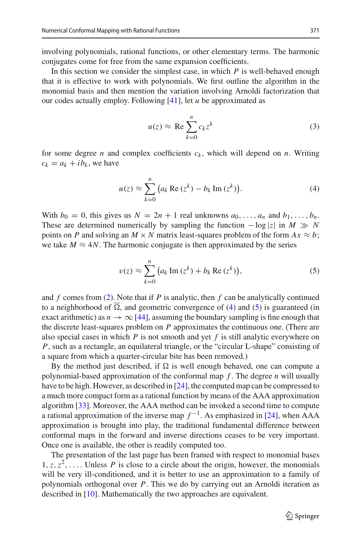involving polynomials, rational functions, or other elementary terms. The harmonic conjugates come for free from the same expansion coefficients.

In this section we consider the simplest case, in which *P* is well-behaved enough that it is effective to work with polynomials. We first outline the algorithm in the monomial basis and then mention the variation involving Arnoldi factorization that our codes actually employ. Following [\[41](#page-18-4)], let *u* be approximated as

<span id="page-2-2"></span>
$$
u(z) \approx \text{Re} \sum_{k=0}^{n} c_k z^k \tag{3}
$$

for some degree *n* and complex coefficients  $c_k$ , which will depend on *n*. Writing  $c_k = a_k + ib_k$ , we have

<span id="page-2-0"></span>
$$
u(z) \approx \sum_{k=0}^{n} \left( a_k \operatorname{Re} \left( z^k \right) - b_k \operatorname{Im} \left( z^k \right) \right). \tag{4}
$$

With  $b_0 = 0$ , this gives us  $N = 2n + 1$  real unknowns  $a_0, \ldots, a_n$  and  $b_1, \ldots, b_n$ . These are determined numerically by sampling the function  $-\log|z|$  in  $M \gg N$ points on *P* and solving an  $M \times N$  matrix least-squares problem of the form  $Ax \approx b$ ; we take  $M \approx 4N$ . The harmonic conjugate is then approximated by the series

<span id="page-2-1"></span>
$$
v(z) \approx \sum_{k=0}^{n} \left( a_k \operatorname{Im} \left( z^k \right) + b_k \operatorname{Re} \left( z^k \right) \right),\tag{5}
$$

and *f* comes from [\(2\)](#page-1-2). Note that if *P* is analytic, then *f* can be analytically continued to a neighborhood of  $\Omega$ , and geometric convergence of [\(4\)](#page-2-0) and [\(5\)](#page-2-1) is guaranteed (in exact arithmetic) as  $n \to \infty$  [\[44\]](#page-18-5), assuming the boundary sampling is fine enough that the discrete least-squares problem on *P* approximates the continuous one. (There are also special cases in which  $P$  is not smooth and yet  $f$  is still analytic everywhere on *P*, such as a rectangle, an equilateral triangle, or the "circular L-shape" consisting of a square from which a quarter-circular bite has been removed.)

By the method just described, if  $\Omega$  is well enough behaved, one can compute a polynomial-based approximation of the conformal map *f* . The degree *n* will usually have to be high. However, as described in [\[24\]](#page-17-3), the computed map can be compressed to a much more compact form as a rational function by means of the AAA approximation algorithm [\[33\]](#page-17-4). Moreover, the AAA method can be invoked a second time to compute a rational approximation of the inverse map  $f^{-1}$ . As emphasized in [\[24](#page-17-3)], when AAA approximation is brought into play, the traditional fundamental difference between conformal maps in the forward and inverse directions ceases to be very important. Once one is available, the other is readily computed too.

The presentation of the last page has been framed with respect to monomial bases  $1, z, z<sup>2</sup>, \ldots$  Unless *P* is close to a circle about the origin, however, the monomials will be very ill-conditioned, and it is better to use an approximation to a family of polynomials orthogonal over *P*. This we do by carrying out an Arnoldi iteration as described in [\[10\]](#page-17-6). Mathematically the two approaches are equivalent.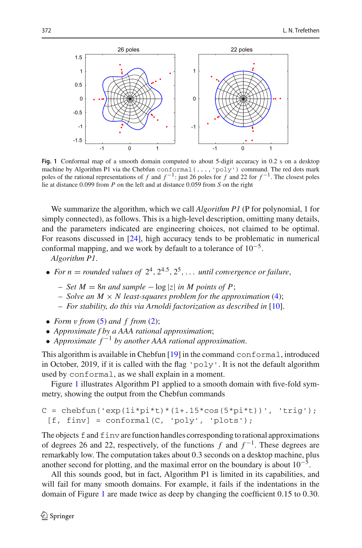

<span id="page-3-0"></span>**Fig. 1** Conformal map of a smooth domain computed to about 5-digit accuracy in 0.2 s on a desktop machine by Algorithm P1 via the Chebfun conformal(...,'poly') command. The red dots mark poles of the rational representations of *f* and  $f^{-1}$ : just 26 poles for *f* and 22 for  $f^{-1}$ . The closest poles lie at distance 0.099 from *P* on the left and at distance 0.059 from *S* on the right

We summarize the algorithm, which we call *Algorithm P1* (P for polynomial, 1 for simply connected), as follows. This is a high-level description, omitting many details, and the parameters indicated are engineering choices, not claimed to be optimal. For reasons discussed in [\[24\]](#page-17-3), high accuracy tends to be problematic in numerical conformal mapping, and we work by default to a tolerance of  $10^{-5}$ .

*Algorithm P1*.

- For  $n =$  *rounded values of*  $2^4$ ,  $2^{4.5}$ ,  $2^5$ , ... *until convergence or failure*,
	- $− Set M = 8n$  and sample  $-log|z|$  *in M points of P*;
	- $-$  *Solve an M*  $\times$  *N least-squares problem for the approximation* [\(4\)](#page-2-0);
	- *For stability, do this via Arnoldi factorization as described in* [\[10](#page-17-6)].
- *Form* v *from* [\(5\)](#page-2-1) *and f from* [\(2\)](#page-1-2);
- *Approximate f by a AAA rational approximation*;
- *Approximate f* <sup>−</sup><sup>1</sup> *by another AAA rational approximation*.

This algorithm is available in Chebfun [\[19](#page-17-7)] in the command conformal, introduced in October, 2019, if it is called with the flag 'poly'. It is not the default algorithm used by conformal, as we shall explain in a moment.

Figure [1](#page-3-0) illustrates Algorithm P1 applied to a smooth domain with five-fold symmetry, showing the output from the Chebfun commands

```
C = chebfun('exp(1i * pi * t)*(1+.15 * cos(5 * pi * t))', 'trig');
 [f, \text{finv}] = \text{conformal}(C, \text{'poly}', \text{'plots'});
```
The objects  $f$  and  $f$  invare function handles corresponding to rational approximations of degrees 26 and 22, respectively, of the functions *f* and *f* <sup>−</sup>1. These degrees are remarkably low. The computation takes about 0.3 seconds on a desktop machine, plus another second for plotting, and the maximal error on the boundary is about  $10^{-5}$ .

All this sounds good, but in fact, Algorithm P1 is limited in its capabilities, and will fail for many smooth domains. For example, it fails if the indentations in the domain of Figure [1](#page-3-0) are made twice as deep by changing the coefficient 0.15 to 0.30.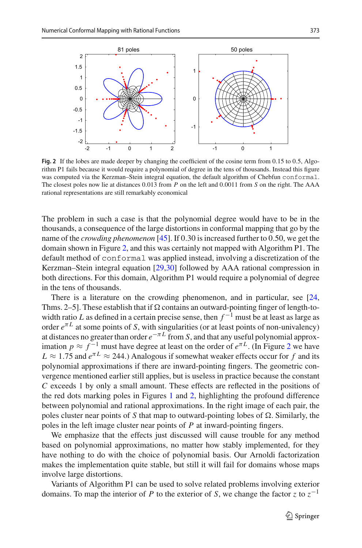

<span id="page-4-0"></span>**Fig. 2** If the lobes are made deeper by changing the coefficient of the cosine term from 0.15 to 0.5, Algorithm P1 fails because it would require a polynomial of degree in the tens of thousands. Instead this figure was computed via the Kerzman–Stein integral equation, the default algorithm of Chebfun conformal. The closest poles now lie at distances 0.013 from *P* on the left and 0.0011 from *S* on the right. The AAA rational representations are still remarkably economical

The problem in such a case is that the polynomial degree would have to be in the thousands, a consequence of the large distortions in conformal mapping that go by the name of the *crowding phenomenon* [\[45\]](#page-18-2). If 0.30 is increased further to 0.50, we get the domain shown in Figure [2,](#page-4-0) and this was certainly not mapped with Algorithm P1. The default method of conformal was applied instead, involving a discretization of the Kerzman–Stein integral equation [\[29](#page-17-8)[,30\]](#page-17-9) followed by AAA rational compression in both directions. For this domain, Algorithm P1 would require a polynomial of degree in the tens of thousands.

There is a literature on the crowding phenomenon, and in particular, see [\[24,](#page-17-3) Thms. 2–5]. These establish that if  $\Omega$  contains an outward-pointing finger of length-towidth ratio *L* as defined in a certain precise sense, then  $f^{-1}$  must be at least as large as order  $e^{\pi L}$  at some points of *S*, with singularities (or at least points of non-univalency) at distances no greater than order  $e^{-\pi L}$  from *S*, and that any useful polynomial approximation  $p \approx f^{-1}$  must have degree at least on the order of  $e^{\pi L}$ . (In Figure [2](#page-4-0) we have  $L \approx 1.75$  and  $e^{\pi L} \approx 244$ .) Analogous if somewhat weaker effects occur for f and its polynomial approximations if there are inward-pointing fingers. The geometric convergence mentioned earlier still applies, but is useless in practice because the constant *C* exceeds 1 by only a small amount. These effects are reflected in the positions of the red dots marking poles in Figures [1](#page-3-0) and [2,](#page-4-0) highlighting the profound difference between polynomial and rational approximations. In the right image of each pair, the poles cluster near points of  $S$  that map to outward-pointing lobes of  $\Omega$ . Similarly, the poles in the left image cluster near points of *P* at inward-pointing fingers.

We emphasize that the effects just discussed will cause trouble for any method based on polynomial approximations, no matter how stably implemented, for they have nothing to do with the choice of polynomial basis. Our Arnoldi factorization makes the implementation quite stable, but still it will fail for domains whose maps involve large distortions.

Variants of Algorithm P1 can be used to solve related problems involving exterior domains. To map the interior of *P* to the exterior of *S*, we change the factor *z* to *z*−<sup>1</sup>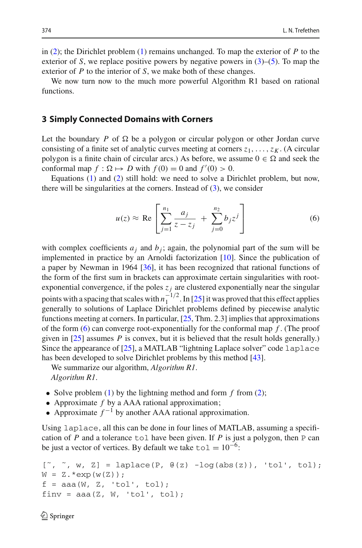in [\(2\)](#page-1-2); the Dirichlet problem [\(1\)](#page-1-1) remains unchanged. To map the exterior of *P* to the exterior of *S*, we replace positive powers by negative powers in  $(3)$ – $(5)$ . To map the exterior of *P* to the interior of *S*, we make both of these changes.

We now turn now to the much more powerful Algorithm R1 based on rational functions.

#### <span id="page-5-0"></span>**3 Simply Connected Domains with Corners**

Let the boundary  $P$  of  $\Omega$  be a polygon or circular polygon or other Jordan curve consisting of a finite set of analytic curves meeting at corners  $z_1, \ldots, z_k$ . (A circular polygon is a finite chain of circular arcs.) As before, we assume  $0 \in \Omega$  and seek the conformal map  $f : \Omega \mapsto D$  with  $f(0) = 0$  and  $f'(0) > 0$ .

Equations [\(1\)](#page-1-1) and [\(2\)](#page-1-2) still hold: we need to solve a Dirichlet problem, but now, there will be singularities at the corners. Instead of  $(3)$ , we consider

<span id="page-5-1"></span>
$$
u(z) \approx \text{Re}\left[\sum_{j=1}^{n_1} \frac{a_j}{z - z_j} + \sum_{j=0}^{n_2} b_j z^j\right]
$$
 (6)

with complex coefficients  $a_j$  and  $b_j$ ; again, the polynomial part of the sum will be implemented in practice by an Arnoldi factorization [\[10\]](#page-17-6). Since the publication of a paper by Newman in 1964 [\[36\]](#page-18-6), it has been recognized that rational functions of the form of the first sum in brackets can approximate certain singularities with rootexponential convergence, if the poles  $z_i$  are clustered exponentially near the singular points with a spacing that scales with  $n_1^{-1/2}$ . In [\[25](#page-17-2)] it was proved that this effect applies generally to solutions of Laplace Dirichlet problems defined by piecewise analytic functions meeting at corners. In particular,  $[25, Thm. 2.3]$  $[25, Thm. 2.3]$  implies that approximations of the form [\(6\)](#page-5-1) can converge root-exponentially for the conformal map *f* . (The proof given in [\[25](#page-17-2)] assumes *P* is convex, but it is believed that the result holds generally.) Since the appearance of [\[25](#page-17-2)], a MATLAB "lightning Laplace solver" code laplace has been developed to solve Dirichlet problems by this method [\[43\]](#page-18-3).

We summarize our algorithm, *Algorithm R1*. *Algorithm R1*.

- Solve problem ([1](#page-1-1)) by the lightning method and form *f* from [\(2\)](#page-1-2);
- Approximate *f* by a AAA rational approximation;
- Approximate  $f^{-1}$  by another AAA rational approximation.

Using laplace, all this can be done in four lines of MATLAB, assuming a specification of *P* and a tolerance to l have been given. If *P* is just a polygon, then  $P$  can be just a vector of vertices. By default we take to  $1 = 10^{-6}$ :

```
[", ", w, Z] = laplace(P, \theta(z) -log(abs(z)), 'tol', tol);
W = Z.*exp(w(Z));f = aaa(W, Z, 'tol', tol);finv = aaa(Z, W, 'tol', tol);
```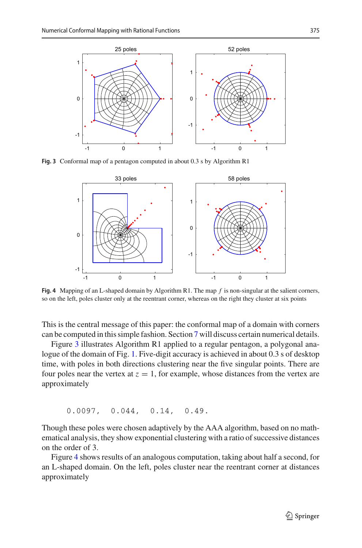

<span id="page-6-0"></span>**Fig. 3** Conformal map of a pentagon computed in about 0.3 s by Algorithm R1



<span id="page-6-1"></span>**Fig. 4** Mapping of an L-shaped domain by Algorithm R1. The map *f* is non-singular at the salient corners, so on the left, poles cluster only at the reentrant corner, whereas on the right they cluster at six points

This is the central message of this paper: the conformal map of a domain with corners can be computed in this simple fashion. Section [7](#page-14-0) will discuss certain numerical details.

Figure [3](#page-6-0) illustrates Algorithm R1 applied to a regular pentagon, a polygonal analogue of the domain of Fig. [1.](#page-3-0) Five-digit accuracy is achieved in about 0.3 s of desktop time, with poles in both directions clustering near the five singular points. There are four poles near the vertex at  $z = 1$ , for example, whose distances from the vertex are approximately

0.0097, 0.044, 0.14, 0.49.

Though these poles were chosen adaptively by the AAA algorithm, based on no mathematical analysis, they show exponential clustering with a ratio of successive distances on the order of 3.

Figure [4](#page-6-1) shows results of an analogous computation, taking about half a second, for an L-shaped domain. On the left, poles cluster near the reentrant corner at distances approximately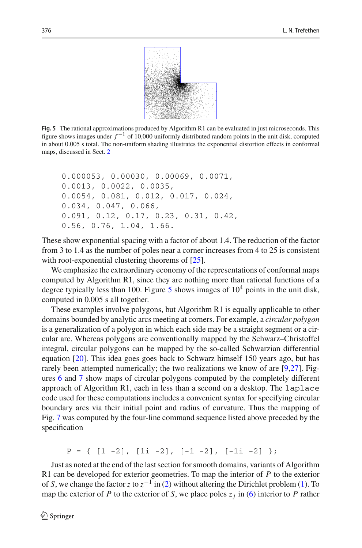

<span id="page-7-0"></span>**Fig. 5** The rational approximations produced by Algorithm R1 can be evaluated in just microseconds. This figure shows images under *f* <sup>−</sup><sup>1</sup> of 10,000 uniformly distributed random points in the unit disk, computed in about 0.005 s total. The non-uniform shading illustrates the exponential distortion effects in conformal maps, discussed in Sect. [2](#page-1-0)

```
0.000053, 0.00030, 0.00069, 0.0071,
0.0013, 0.0022, 0.0035,
0.0054, 0.081, 0.012, 0.017, 0.024,
0.034, 0.047, 0.066,
0.091, 0.12, 0.17, 0.23, 0.31, 0.42,
0.56, 0.76, 1.04, 1.66.
```
These show exponential spacing with a factor of about 1.4. The reduction of the factor from 3 to 1.4 as the number of poles near a corner increases from 4 to 25 is consistent with root-exponential clustering theorems of [\[25](#page-17-2)].

We emphasize the extraordinary economy of the representations of conformal maps computed by Algorithm R1, since they are nothing more than rational functions of a degree typically less than 100. Figure  $5$  shows images of  $10<sup>4</sup>$  points in the unit disk, computed in 0.005 s all together.

These examples involve polygons, but Algorithm R1 is equally applicable to other domains bounded by analytic arcs meeting at corners. For example, a *circular polygon* is a generalization of a polygon in which each side may be a straight segment or a circular arc. Whereas polygons are conventionally mapped by the Schwarz–Christoffel integral, circular polygons can be mapped by the so-called Schwarzian differential equation [\[20](#page-17-10)]. This idea goes goes back to Schwarz himself 150 years ago, but has rarely been attempted numerically; the two realizations we know of are [\[9](#page-17-11)[,27\]](#page-17-12). Figures [6](#page-8-1) and [7](#page-8-2) show maps of circular polygons computed by the completely different approach of Algorithm R1, each in less than a second on a desktop. The laplace code used for these computations includes a convenient syntax for specifying circular boundary arcs via their initial point and radius of curvature. Thus the mapping of Fig. [7](#page-8-2) was computed by the four-line command sequence listed above preceded by the specification

 $P = \{ [1 -2], [1i -2], [-1 -2], [-1i -2], \}$ 

Just as noted at the end of the last section for smooth domains, variants of Algorithm R1 can be developed for exterior geometries. To map the interior of *P* to the exterior of *S*, we change the factor *z* to *z*−<sup>1</sup> in [\(2\)](#page-1-2) without altering the Dirichlet problem [\(1\)](#page-1-1). To map the exterior of *P* to the exterior of *S*, we place poles  $z_j$  in [\(6\)](#page-5-1) interior to *P* rather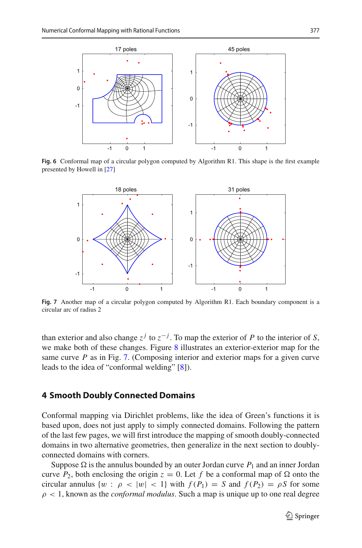

<span id="page-8-1"></span>**Fig. 6** Conformal map of a circular polygon computed by Algorithm R1. This shape is the first example presented by Howell in [\[27](#page-17-12)]



<span id="page-8-2"></span>**Fig. 7** Another map of a circular polygon computed by Algorithm R1. Each boundary component is a circular arc of radius 2

than exterior and also change  $z^j$  to  $z^{-j}$ . To map the exterior of *P* to the interior of *S*, we make both of these changes. Figure [8](#page-9-0) illustrates an exterior-exterior map for the same curve *P* as in Fig. [7.](#page-8-2) (Composing interior and exterior maps for a given curve leads to the idea of "conformal welding" [\[8\]](#page-17-13)).

#### <span id="page-8-0"></span>**4 Smooth Doubly Connected Domains**

Conformal mapping via Dirichlet problems, like the idea of Green's functions it is based upon, does not just apply to simply connected domains. Following the pattern of the last few pages, we will first introduce the mapping of smooth doubly-connected domains in two alternative geometries, then generalize in the next section to doublyconnected domains with corners.

Suppose  $\Omega$  is the annulus bounded by an outer Jordan curve  $P_1$  and an inner Jordan curve  $P_2$ , both enclosing the origin  $z = 0$ . Let  $f$  be a conformal map of  $\Omega$  onto the circular annulus  $\{w : \rho < |w| < 1\}$  with  $f(P_1) = S$  and  $f(P_2) = \rho S$  for some  $\rho < 1$ , known as the *conformal modulus*. Such a map is unique up to one real degree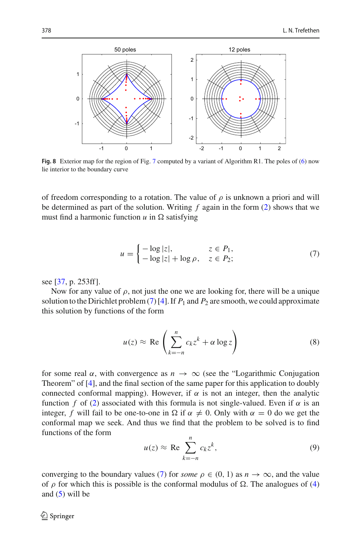

<span id="page-9-0"></span>**Fig. 8** Exterior map for the region of Fig. [7](#page-8-2) computed by a variant of Algorithm R1. The poles of [\(6\)](#page-5-1) now lie interior to the boundary curve

of freedom corresponding to a rotation. The value of  $\rho$  is unknown a priori and will be determined as part of the solution. Writing *f* again in the form [\(2\)](#page-1-2) shows that we must find a harmonic function  $u$  in  $\Omega$  satisfying

<span id="page-9-1"></span>
$$
u = \begin{cases} -\log|z|, & z \in P_1, \\ -\log|z| + \log \rho, & z \in P_2; \end{cases}
$$
(7)

see [\[37](#page-18-0), p. 253ff].

Now for any value of  $\rho$ , not just the one we are looking for, there will be a unique solution to the Dirichlet problem [\(7\)](#page-9-1) [\[4\]](#page-16-1). If  $P_1$  and  $P_2$  are smooth, we could approximate this solution by functions of the form

$$
u(z) \approx \text{Re}\left(\sum_{k=-n}^{n} c_k z^k + \alpha \log z\right)
$$
 (8)

for some real  $\alpha$ , with convergence as  $n \to \infty$  (see the "Logarithmic Conjugation") Theorem" of [\[4](#page-16-1)], and the final section of the same paper for this application to doubly connected conformal mapping). However, if  $\alpha$  is not an integer, then the analytic function *f* of [\(2\)](#page-1-2) associated with this formula is not single-valued. Even if  $\alpha$  is an integer, *f* will fail to be one-to-one in  $\Omega$  if  $\alpha \neq 0$ . Only with  $\alpha = 0$  do we get the conformal map we seek. And thus we find that the problem to be solved is to find functions of the form

$$
u(z) \approx \text{Re} \sum_{k=-n}^{n} c_k z^k,
$$
 (9)

converging to the boundary values [\(7\)](#page-9-1) for *some*  $\rho \in (0, 1)$  as  $n \to \infty$ , and the value of  $\rho$  for which this is possible is the conformal modulus of  $\Omega$ . The analogues of [\(4\)](#page-2-0) and  $(5)$  will be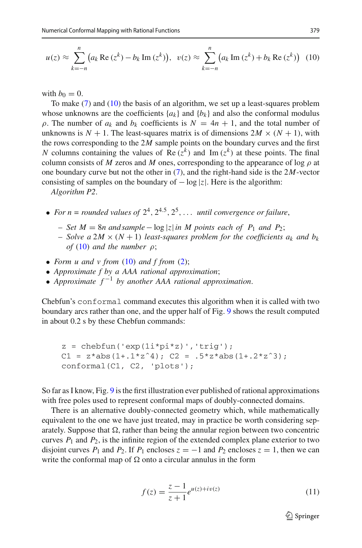<span id="page-10-0"></span>
$$
u(z) \approx \sum_{k=-n}^{n} \left( a_k \operatorname{Re} \left( z^k \right) - b_k \operatorname{Im} \left( z^k \right) \right), \quad v(z) \approx \sum_{k=-n}^{n} \left( a_k \operatorname{Im} \left( z^k \right) + b_k \operatorname{Re} \left( z^k \right) \right) \tag{10}
$$

with  $b_0 = 0$ .

To make [\(7\)](#page-9-1) and [\(10\)](#page-10-0) the basis of an algorithm, we set up a least-squares problem whose unknowns are the coefficients  $\{a_k\}$  and  $\{b_k\}$  and also the conformal modulus  $ρ$ . The number of  $a_k$  and  $b_k$  coefficients is  $N = 4n + 1$ , and the total number of unknowns is  $N + 1$ . The least-squares matrix is of dimensions  $2M \times (N + 1)$ , with the rows corresponding to the 2*M* sample points on the boundary curves and the first *N* columns containing the values of Re  $(z^k)$  and Im  $(z^k)$  at these points. The final column consists of *M* zeros and *M* ones, corresponding to the appearance of log  $\rho$  at one boundary curve but not the other in [\(7\)](#page-9-1), and the right-hand side is the 2*M*-vector consisting of samples on the boundary of − log |*z*|. Here is the algorithm:

*Algorithm P2*.

- For  $n =$  *rounded values of*  $2^4$ ,  $2^{4.5}$ ,  $2^5$ , ... *until convergence or failure*,
	- *Set M* = 8*n and sample*− log |*z*|*in M points each of P*<sup>1</sup> *and P*2;
	- $-$  *Solve a* 2*M*  $\times$  (*N* + 1) *least-squares problem for the coefficients*  $a_k$  *and*  $b_k$ *of* [\(10\)](#page-10-0) *and the number*  $\rho$ ;
- *Form u and v from* [\(10\)](#page-10-0) *and f from* [\(2\)](#page-1-2);
- *Approximate f by a AAA rational approximation*;
- *Approximate f* <sup>−</sup><sup>1</sup> *by another AAA rational approximation*.

Chebfun's conformal command executes this algorithm when it is called with two boundary arcs rather than one, and the upper half of Fig. [9](#page-11-0) shows the result computed in about 0.2 s by these Chebfun commands:

```
z = \text{chebfun}('exp(1i * pi * z) ', 'trig');C1 = z*abs(1+.1*z^4); C2 = .5*z*abs(1+.2*z^3);
conformal(C1, C2, 'plots');
```
So far as I know, Fig. [9](#page-11-0) is the first illustration ever published of rational approximations with free poles used to represent conformal maps of doubly-connected domains.

There is an alternative doubly-connected geometry which, while mathematically equivalent to the one we have just treated, may in practice be worth considering separately. Suppose that  $\Omega$ , rather than being the annular region between two concentric curves  $P_1$  and  $P_2$ , is the infinite region of the extended complex plane exterior to two disjoint curves  $P_1$  and  $P_2$ . If  $P_1$  encloses  $z = -1$  and  $P_2$  encloses  $z = 1$ , then we can write the conformal map of  $\Omega$  onto a circular annulus in the form

<span id="page-10-1"></span>
$$
f(z) = \frac{z - 1}{z + 1} e^{u(z) + iv(z)}
$$
 (11)

 $\mathcal{D}$  Springer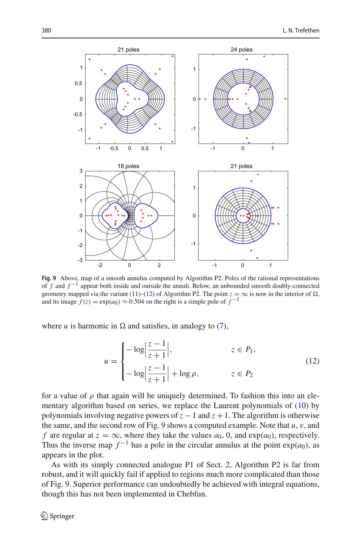

<span id="page-11-0"></span>**Fig. 9** Above, map of a smooth annulus computed by Algorithm P2. Poles of the rational representations of *f* and *f* <sup>−</sup><sup>1</sup> appear both inside and outside the annuli. Below, an unbounded smooth doubly-connected geometry mapped via the variant [\(11\)](#page-10-1)–[\(12\)](#page-11-1) of Algorithm P2. The point  $z = \infty$  is now in the interior of  $\Omega$ , and its image  $f(z) = \exp(a_0) \approx 0.504$  on the right is a simple pole of  $f^{-1}$ 

where  $u$  is harmonic in  $\Omega$  and satisfies, in analogy to [\(7\)](#page-9-1),

<span id="page-11-1"></span>
$$
u = \begin{cases}\n-\log\left|\frac{z-1}{z+1}\right|, & z \in P_1, \\
-\log\left|\frac{z-1}{z+1}\right| + \log\rho, & z \in P_2\n\end{cases}
$$
\n(12)

for a value of  $\rho$  that again will be uniquely determined. To fashion this into an elementary algorithm based on series, we replace the Laurent polynomials of [\(10\)](#page-10-0) by polynomials involving negative powers of  $z - 1$  and  $z + 1$ . The algorithm is otherwise the same, and the second row of Fig. [9](#page-11-0) shows a computed example. Note that  $u, v$ , and *f* are regular at  $z = \infty$ , where they take the values  $a_0$ , 0, and  $\exp(a_0)$ , respectively. Thus the inverse map  $f^{-1}$  has a pole in the circular annulus at the point  $exp(a_0)$ , as appears in the plot.

As with its simply connected analogue P1 of Sect. [2,](#page-1-0) Algorithm P2 is far from robust, and it will quickly fail if applied to regions much more complicated than those of Fig. [9.](#page-11-0) Superior performance can undoubtedly be achieved with integral equations, though this has not been implemented in Chebfun.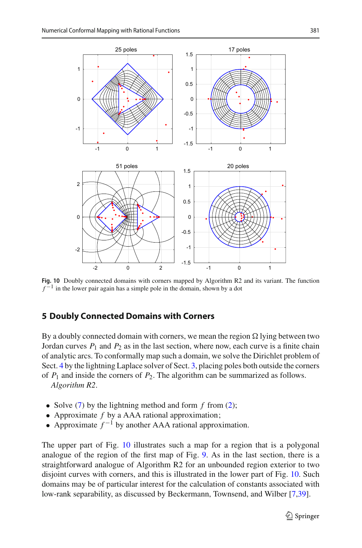

<span id="page-12-1"></span>**Fig. 10** Doubly connected domains with corners mapped by Algorithm R2 and its variant. The function  $f^{-1}$  in the lower pair again has a simple pole in the domain, shown by a dot

#### <span id="page-12-0"></span>**5 Doubly Connected Domains with Corners**

By a doubly connected domain with corners, we mean the region  $\Omega$  lying between two Jordan curves  $P_1$  and  $P_2$  as in the last section, where now, each curve is a finite chain of analytic arcs. To conformally map such a domain, we solve the Dirichlet problem of Sect. [4](#page-8-0) by the lightning Laplace solver of Sect. [3,](#page-5-0) placing poles both outside the corners of  $P_1$  and inside the corners of  $P_2$ . The algorithm can be summarized as follows.

*Algorithm R2*.

- Solve ([7](#page-9-1)) by the lightning method and form *f* from [\(2\)](#page-1-2);
- Approximate *f* by a AAA rational approximation;
- Approximate  $f^{-1}$  by another AAA rational approximation.

The upper part of Fig. [10](#page-12-1) illustrates such a map for a region that is a polygonal analogue of the region of the first map of Fig. [9.](#page-11-0) As in the last section, there is a straightforward analogue of Algorithm R2 for an unbounded region exterior to two disjoint curves with corners, and this is illustrated in the lower part of Fig. [10.](#page-12-1) Such domains may be of particular interest for the calculation of constants associated with low-rank separability, as discussed by Beckermann, Townsend, and Wilber [\[7](#page-17-14)[,39\]](#page-18-7).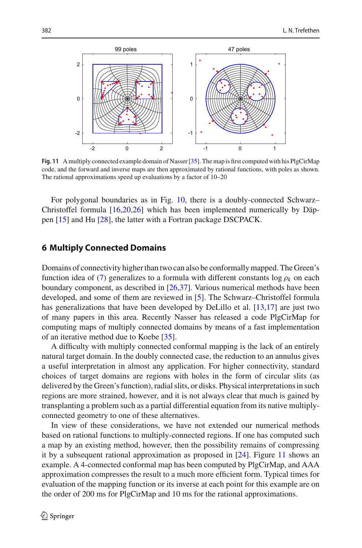

<span id="page-13-1"></span>**Fig. 11** A multiply connected example domain of Nasser [\[35\]](#page-18-8). The map is first computed with his PlgCirMap code, and the forward and inverse maps are then approximated by rational functions, with poles as shown. The rational approximations speed up evaluations by a factor of 10–20

For polygonal boundaries as in Fig. [10,](#page-12-1) there is a doubly-connected Schwarz– Christoffel formula [\[16](#page-17-15)[,20](#page-17-10)[,26](#page-17-0)] which has been implemented numerically by Däppen [\[15\]](#page-17-16) and Hu [\[28\]](#page-17-17), the latter with a Fortran package DSCPACK.

#### <span id="page-13-0"></span>**6 Multiply Connected Domains**

Domains of connectivity higher than two can also be conformally mapped. The Green's function idea of [\(7\)](#page-9-1) generalizes to a formula with different constants  $\log \rho_k$  on each boundary component, as described in [\[26](#page-17-0)[,37](#page-18-0)]. Various numerical methods have been developed, and some of them are reviewed in [\[5\]](#page-17-18). The Schwarz–Christoffel formula has generalizations that have been developed by DeLillo et al. [\[13](#page-17-19)[,17](#page-17-20)] are just two of many papers in this area. Recently Nasser has released a code PlgCirMap for computing maps of multiply connected domains by means of a fast implementation of an iterative method due to Koebe [\[35](#page-18-8)].

A difficulty with multiply connected conformal mapping is the lack of an entirely natural target domain. In the doubly connected case, the reduction to an annulus gives a useful interpretation in almost any application. For higher connectivity, standard choices of target domains are regions with holes in the form of circular slits (as delivered by the Green's function), radial slits, or disks. Physical interpretations in such regions are more strained, however, and it is not always clear that much is gained by transplanting a problem such as a partial differential equation from its native multiplyconnected geometry to one of these alternatives.

In view of these considerations, we have not extended our numerical methods based on rational functions to multiply-connected regions. If one has computed such a map by an existing method, however, then the possibility remains of compressing it by a subsequent rational approximation as proposed in [\[24](#page-17-3)]. Figure [11](#page-13-1) shows an example. A 4-connected conformal map has been computed by PlgCirMap, and AAA approximation compresses the result to a much more efficient form. Typical times for evaluation of the mapping function or its inverse at each point for this example are on the order of 200 ms for PlgCirMap and 10 ms for the rational approximations.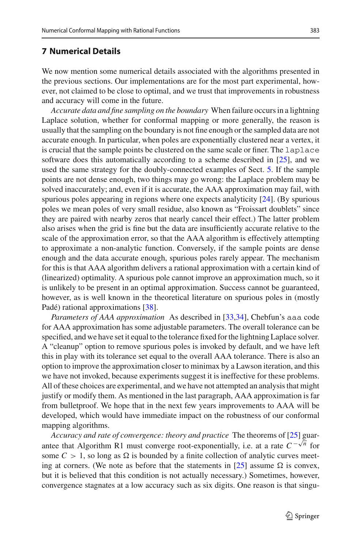# <span id="page-14-0"></span>**7 Numerical Details**

We now mention some numerical details associated with the algorithms presented in the previous sections. Our implementations are for the most part experimental, however, not claimed to be close to optimal, and we trust that improvements in robustness and accuracy will come in the future.

*Accurate data and fine sampling on the boundary* When failure occurs in a lightning Laplace solution, whether for conformal mapping or more generally, the reason is usually that the sampling on the boundary is not fine enough or the sampled data are not accurate enough. In particular, when poles are exponentially clustered near a vertex, it is crucial that the sample points be clustered on the same scale or finer. The laplace software does this automatically according to a scheme described in [\[25\]](#page-17-2), and we used the same strategy for the doubly-connected examples of Sect. [5.](#page-12-0) If the sample points are not dense enough, two things may go wrong: the Laplace problem may be solved inaccurately; and, even if it is accurate, the AAA approximation may fail, with spurious poles appearing in regions where one expects analyticity [\[24](#page-17-3)]. (By spurious poles we mean poles of very small residue, also known as "Froissart doublets" since they are paired with nearby zeros that nearly cancel their effect.) The latter problem also arises when the grid is fine but the data are insufficiently accurate relative to the scale of the approximation error, so that the AAA algorithm is effectively attempting to approximate a non-analytic function. Conversely, if the sample points are dense enough and the data accurate enough, spurious poles rarely appear. The mechanism for this is that AAA algorithm delivers a rational approximation with a certain kind of (linearized) optimality. A spurious pole cannot improve an approximation much, so it is unlikely to be present in an optimal approximation. Success cannot be guaranteed, however, as is well known in the theoretical literature on spurious poles in (mostly Padé) rational approximations [\[38](#page-18-9)].

*Parameters of AAA approximation* As described in [\[33](#page-17-4)[,34](#page-17-5)], Chebfun's aaa code for AAA approximation has some adjustable parameters. The overall tolerance can be specified, and we have set it equal to the tolerance fixed for the lightning Laplace solver. A "cleanup" option to remove spurious poles is invoked by default, and we have left this in play with its tolerance set equal to the overall AAA tolerance. There is also an option to improve the approximation closer to minimax by a Lawson iteration, and this we have not invoked, because experiments suggest it is ineffective for these problems. All of these choices are experimental, and we have not attempted an analysis that might justify or modify them. As mentioned in the last paragraph, AAA approximation is far from bulletproof. We hope that in the next few years improvements to AAA will be developed, which would have immediate impact on the robustness of our conformal mapping algorithms.

*Accuracy and rate of convergence: theory and practice* The theorems of [\[25\]](#page-17-2) guarantee that Algorithm R1 must converge root-exponentially, i.e. at a rate  $C^{-\sqrt{n}}$  for some  $C > 1$ , so long as  $\Omega$  is bounded by a finite collection of analytic curves meet-ing at corners. (We note as before that the statements in [\[25\]](#page-17-2) assume  $\Omega$  is convex, but it is believed that this condition is not actually necessary.) Sometimes, however, convergence stagnates at a low accuracy such as six digits. One reason is that singu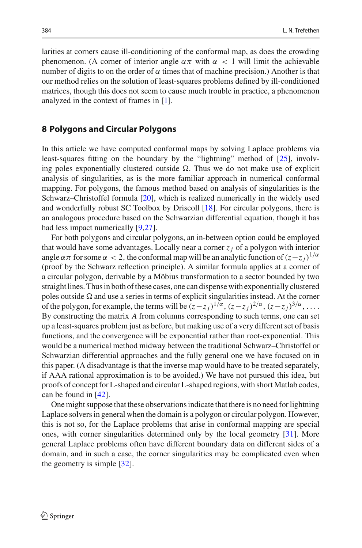larities at corners cause ill-conditioning of the conformal map, as does the crowding phenomenon. (A corner of interior angle  $\alpha \pi$  with  $\alpha < 1$  will limit the achievable number of digits to on the order of  $\alpha$  times that of machine precision.) Another is that our method relies on the solution of least-squares problems defined by ill-conditioned matrices, though this does not seem to cause much trouble in practice, a phenomenon analyzed in the context of frames in [\[1](#page-16-2)].

#### <span id="page-15-0"></span>**8 Polygons and Circular Polygons**

In this article we have computed conformal maps by solving Laplace problems via least-squares fitting on the boundary by the "lightning" method of [\[25\]](#page-17-2), involving poles exponentially clustered outside  $\Omega$ . Thus we do not make use of explicit analysis of singularities, as is the more familiar approach in numerical conformal mapping. For polygons, the famous method based on analysis of singularities is the Schwarz–Christoffel formula [\[20](#page-17-10)], which is realized numerically in the widely used and wonderfully robust SC Toolbox by Driscoll [\[18\]](#page-17-21). For circular polygons, there is an analogous procedure based on the Schwarzian differential equation, though it has had less impact numerically [\[9](#page-17-11)[,27](#page-17-12)].

For both polygons and circular polygons, an in-between option could be employed that would have some advantages. Locally near a corner *zj* of a polygon with interior angle  $\alpha \pi$  for some  $\alpha < 2$ , the conformal map will be an analytic function of  $(z-z_i)^{1/\alpha}$ (proof by the Schwarz reflection principle). A similar formula applies at a corner of a circular polygon, derivable by a Möbius transformation to a sector bounded by two straight lines. Thus in both of these cases, one can dispense with exponentially clustered poles outside  $\Omega$  and use a series in terms of explicit singularities instead. At the corner of the polygon, for example, the terms will be  $(z-z_j)^{1/\alpha}$ ,  $(z-z_j)^{2/\alpha}$ ,  $(z-z_j)^{3/\alpha}$ ,... By constructing the matrix *A* from columns corresponding to such terms, one can set up a least-squares problem just as before, but making use of a very different set of basis functions, and the convergence will be exponential rather than root-exponential. This would be a numerical method midway between the traditional Schwarz–Christoffel or Schwarzian differential approaches and the fully general one we have focused on in this paper. (A disadvantage is that the inverse map would have to be treated separately, if AAA rational approximation is to be avoided.) We have not pursued this idea, but proofs of concept for L-shaped and circular L-shaped regions, with short Matlab codes, can be found in [\[42](#page-18-10)].

One might suppose that these observations indicate that there is no need for lightning Laplace solvers in general when the domain is a polygon or circular polygon. However, this is not so, for the Laplace problems that arise in conformal mapping are special ones, with corner singularities determined only by the local geometry [\[31\]](#page-17-22). More general Laplace problems often have different boundary data on different sides of a domain, and in such a case, the corner singularities may be complicated even when the geometry is simple [\[32](#page-17-23)].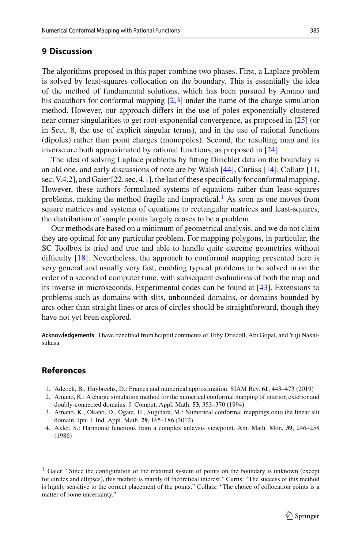### <span id="page-16-0"></span>**9 Discussion**

The algorithms proposed in this paper combine two phases. First, a Laplace problem is solved by least-squares collocation on the boundary. This is essentially the idea of the method of fundamental solutions, which has been pursued by Amano and his coauthors for conformal mapping [\[2](#page-16-3)[,3\]](#page-16-4) under the name of the charge simulation method. However, our approach differs in the use of poles exponentially clustered near corner singularities to get root-exponential convergence, as proposed in [\[25\]](#page-17-2) (or in Sect. [8,](#page-15-0) the use of explicit singular terms), and in the use of rational functions (dipoles) rather than point charges (monopoles). Second, the resulting map and its inverse are both approximated by rational functions, as proposed in [\[24](#page-17-3)].

The idea of solving Laplace problems by fitting Dirichlet data on the boundary is an old one, and early discussions of note are by Walsh [\[44\]](#page-18-5), Curtiss [\[14\]](#page-17-24), Collatz [\[11,](#page-17-25) sec. V.4.2], and Gaier [\[22](#page-17-1), sec. 4.1], the last of these specifically for conformal mapping. However, these authors formulated systems of equations rather than least-squares problems, making the method fragile and impractical.<sup>1</sup> As soon as one moves from square matrices and systems of equations to rectangular matrices and least-squares, the distribution of sample points largely ceases to be a problem.

Our methods are based on a minimum of geometrical analysis, and we do not claim they are optimal for any particular problem. For mapping polygons, in particular, the SC Toolbox is tried and true and able to handle quite extreme geometries without difficulty [\[18\]](#page-17-21). Nevertheless, the approach to conformal mapping presented here is very general and usually very fast, enabling typical problems to be solved in on the order of a second of computer time, with subsequent evaluations of both the map and its inverse in microseconds. Experimental codes can be found at [\[43](#page-18-3)]. Extensions to problems such as domains with slits, unbounded domains, or domains bounded by arcs other than straight lines or arcs of circles should be straightforward, though they have not yet been explored.

**Acknowledgements** I have benefited from helpful comments of Toby Driscoll, Abi Gopal, and Yuji Nakatsukasa.

# **References**

- <span id="page-16-2"></span>1. Adcock, B., Huybrechs, D.: Frames and numerical approximation. SIAM Rev. **61**, 443–473 (2019)
- <span id="page-16-3"></span>2. Amano, K.: A charge simulation method for the numerical conformal mapping of interior, exterior and doubly-connected domains. J. Comput. Appl. Math. **53**, 353–370 (1994)
- <span id="page-16-4"></span>3. Amano, K., Okano, D., Ogata, H., Sugihara, M.: Numerical conformal mappings onto the linear slit domain. Jpn. J. Ind. Appl. Math. **29**, 165–186 (2012)
- <span id="page-16-1"></span>4. Axler, S.: Harmonic functions from a complex anlaysis viewpoint. Am. Math. Mon. **39**, 246–258 (1986)

<span id="page-16-5"></span><sup>&</sup>lt;sup>1</sup> Gaier: "Since the configuration of the maximal system of points on the boundary is unknown (except for circles and ellipses), this method is mainly of theoretical interest." Curtis: "The success of this method is highly sensitive to the correct placement of the points." Collatz: "The choice of collocation points is a matter of some uncertainty."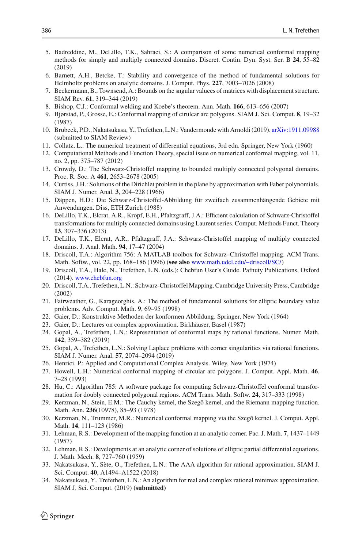- <span id="page-17-18"></span>5. Badreddine, M., DeLillo, T.K., Sahraei, S.: A comparison of some numerical conformal mapping methods for simply and multiply connected domains. Discret. Contin. Dyn. Syst. Ser. B **24**, 55–82 (2019)
- 6. Barnett, A.H., Betcke, T.: Stability and convergence of the method of fundamental solutions for Helmholtz problems on analytic domains. J. Comput. Phys. **227**, 7003–7026 (2008)
- <span id="page-17-14"></span>7. Beckermann, B., Townsend, A.: Bounds on the sngular valuces of matrices with displacement structure. SIAM Rev. **61**, 319–344 (2019)
- <span id="page-17-13"></span>8. Bishop, C.J.: Conformal welding and Koebe's theorem. Ann. Math. **166**, 613–656 (2007)
- <span id="page-17-11"></span>9. Bjørstad, P., Grosse, E.: Conformal mapping of cirulcar arc polygons. SIAM J. Sci. Comput. **8**, 19–32 (1987)
- <span id="page-17-6"></span>10. Brubeck, P.D., Nakatsukasa, Y., Trefethen, L.N.: Vandermonde with Arnoldi (2019). [arXiv:1911.09988](http://arxiv.org/abs/1911.09988) (submitted to SIAM Review)
- <span id="page-17-25"></span>11. Collatz, L.: The numerical treatment of differential equations, 3rd edn. Springer, New York (1960)
- 12. Computational Methods and Function Theory, special issue on numerical conformal mapping, vol. 11, no. 2, pp. 375–787 (2012)
- <span id="page-17-19"></span>13. Crowdy, D.: The Schwarz-Christoffel mapping to bounded multiply connected polygonal domains. Proc. R. Soc. A **461**, 2653–2678 (2005)
- <span id="page-17-24"></span>14. Curtiss, J.H.: Solutions of the Dirichlet problem in the plane by approximation with Faber polynomials. SIAM J. Numer. Anal. **3**, 204–228 (1966)
- <span id="page-17-16"></span>15. Däppen, H.D.: Die Schwarz-Christoffel-Abbildung für zweifach zusammenhängende Gebiete mit Anwendungen. Diss, ETH Zurich (1988)
- <span id="page-17-15"></span>16. DeLillo, T.K., Elcrat, A.R., Kropf, E.H., Pfaltzgraff, J.A.: Efficient calculation of Schwarz-Christoffel transformations for multiply connected domains using Laurent series. Comput. Methods Funct. Theory **13**, 307–336 (2013)
- <span id="page-17-20"></span>17. DeLillo, T.K., Elcrat, A.R., Pfaltzgraff, J.A.: Schwarz-Christoffel mapping of multiply connected domains. J. Anal. Math. **94**, 17–47 (2004)
- <span id="page-17-21"></span>18. Driscoll, T.A.: Algorithm 756: A MATLAB toolbox for Schwarz–Christoffel mapping. ACM Trans. Math. Softw., vol. 22, pp. 168–186 (1996) (**see also** [www.math.udel.edu/~driscoll/SC/\)](www.math.udel.edu/~driscoll/SC/)
- <span id="page-17-7"></span>19. Driscoll, T.A., Hale, N., Trefethen, L.N. (eds.): Chebfun User's Guide. Pafnuty Publications, Oxford (2014). <www.chebfun.org>
- <span id="page-17-10"></span>20. Driscoll, T.A., Trefethen, L.N.: Schwarz-Christoffel Mapping. Cambridge University Press, Cambridge (2002)
- 21. Fairweather, G., Karageorghis, A.: The method of fundamental solutions for elliptic boundary value problems. Adv. Comput. Math. **9**, 69–95 (1998)
- <span id="page-17-1"></span>22. Gaier, D.: Konstruktive Methoden der konformen Abbildung. Springer, New York (1964)
- 23. Gaier, D.: Lectures on complex approximation. Birkhäuser, Basel (1987)
- <span id="page-17-3"></span>24. Gopal, A., Trefethen, L.N.: Representation of conformal maps by rational functions. Numer. Math. **142**, 359–382 (2019)
- <span id="page-17-2"></span>25. Gopal, A., Trefethen, L.N.: Solving Laplace problems with corner singularities via rational functions. SIAM J. Numer. Anal. **57**, 2074–2094 (2019)
- <span id="page-17-0"></span>26. Henrici, P.: Applied and Computational Complex Analysis. Wiley, New York (1974)
- <span id="page-17-12"></span>27. Howell, L.H.: Numerical conformal mapping of circular arc polygons. J. Comput. Appl. Math. **46**, 7–28 (1993)
- <span id="page-17-17"></span>28. Hu, C.: Algorithm 785: A software package for computing Schwarz-Christoffel conformal transformation for doubly connected polygonal regions. ACM Trans. Math. Softw. **24**, 317–333 (1998)
- <span id="page-17-8"></span>29. Kerzman, N., Stein, E.M.: The Cauchy kernel, the Szegő kernel, and the Riemann mapping function. Math. Ann. **236**(10978), 85–93 (1978)
- <span id="page-17-9"></span>30. Kerzman, N., Trummer, M.R.: Numerical conformal mapping via the Szegő kernel. J. Comput. Appl. Math. **14**, 111–123 (1986)
- <span id="page-17-22"></span>31. Lehman, R.S.: Development of the mapping function at an analytic corner. Pac. J. Math. **7**, 1437–1449 (1957)
- <span id="page-17-23"></span>32. Lehman, R.S.: Developments at an analytic corner of solutions of elliptic partial differential equations. J. Math. Mech. **8**, 727–760 (1959)
- <span id="page-17-4"></span>33. Nakatsukasa, Y., Sète, O., Trefethen, L.N.: The AAA algorithm for rational approximation. SIAM J. Sci. Comput. **40**, A1494–A1522 (2018)
- <span id="page-17-5"></span>34. Nakatsukasa, Y., Trefethen, L.N.: An algorithm for real and complex rational minimax approximation. SIAM J. Sci. Comput. (2019) **(submitted)**